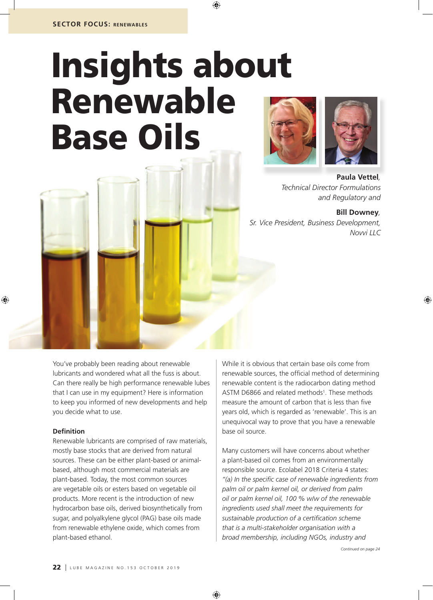# Insights about Renewable Base Oils





**Paula Vettel***, Technical Director Formulations and Regulatory and*

**Bill Downey***, Sr. Vice President, Business Development, Novvi LLC*

You've probably been reading about renewable lubricants and wondered what all the fuss is about. Can there really be high performance renewable lubes that I can use in my equipment? Here is information to keep you informed of new developments and help you decide what to use.

### **Definition**

Renewable lubricants are comprised of raw materials, mostly base stocks that are derived from natural sources. These can be either plant-based or animalbased, although most commercial materials are plant-based. Today, the most common sources are vegetable oils or esters based on vegetable oil products. More recent is the introduction of new hydrocarbon base oils, derived biosynthetically from sugar, and polyalkylene glycol (PAG) base oils made from renewable ethylene oxide, which comes from plant-based ethanol.

While it is obvious that certain base oils come from renewable sources, the official method of determining renewable content is the radiocarbon dating method ASTM D6866 and related methods<sup>1</sup>. These methods measure the amount of carbon that is less than five years old, which is regarded as 'renewable'. This is an unequivocal way to prove that you have a renewable base oil source.

Many customers will have concerns about whether a plant-based oil comes from an environmentally responsible source. Ecolabel 2018 Criteria 4 states: *"(a) In the specific case of renewable ingredients from palm oil or palm kernel oil, or derived from palm oil or palm kernel oil, 100 % w/w of the renewable ingredients used shall meet the requirements for sustainable production of a certification scheme that is a multi-stakeholder organisation with a broad membership, including NGOs, industry and*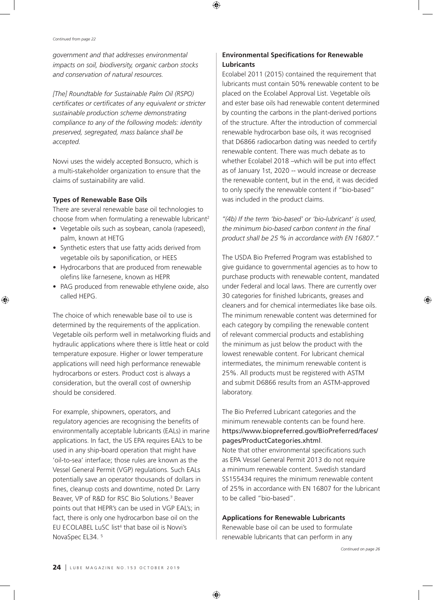*government and that addresses environmental impacts on soil, biodiversity, organic carbon stocks and conservation of natural resources.*

*[The] Roundtable for Sustainable Palm Oil (RSPO) certificates or certificates of any equivalent or stricter sustainable production scheme demonstrating compliance to any of the following models: identity preserved, segregated, mass balance shall be accepted.*

Novvi uses the widely accepted Bonsucro, which is a multi-stakeholder organization to ensure that the claims of sustainability are valid.

#### **Types of Renewable Base Oils**

There are several renewable base oil technologies to choose from when formulating a renewable lubricant<sup>2</sup>

- Vegetable oils such as soybean, canola (rapeseed), palm, known at HETG
- Synthetic esters that use fatty acids derived from vegetable oils by saponification, or HEES
- Hydrocarbons that are produced from renewable olefins like farnesene, known as HEPR
- PAG produced from renewable ethylene oxide, also called HEPG.

The choice of which renewable base oil to use is determined by the requirements of the application. Vegetable oils perform well in metalworking fluids and hydraulic applications where there is little heat or cold temperature exposure. Higher or lower temperature applications will need high performance renewable hydrocarbons or esters. Product cost is always a consideration, but the overall cost of ownership should be considered.

For example, shipowners, operators, and regulatory agencies are recognising the benefits of environmentally acceptable lubricants (EALs) in marine applications. In fact, the US EPA requires EAL's to be used in any ship-board operation that might have 'oil-to-sea' interface; those rules are known as the Vessel General Permit (VGP) regulations. Such EALs potentially save an operator thousands of dollars in fines, cleanup costs and downtime, noted Dr. Larry Beaver, VP of R&D for RSC Bio Solutions.<sup>3</sup> Beaver points out that HEPR's can be used in VGP EAL's; in fact, there is only one hydrocarbon base oil on the EU ECOLABEL LuSC list<sup>4</sup> that base oil is Novvi's NovaSpec EL34. 5

## **Environmental Specifications for Renewable Lubricants**

Ecolabel 2011 (2015) contained the requirement that lubricants must contain 50% renewable content to be placed on the Ecolabel Approval List. Vegetable oils and ester base oils had renewable content determined by counting the carbons in the plant-derived portions of the structure. After the introduction of commercial renewable hydrocarbon base oils, it was recognised that D6866 radiocarbon dating was needed to certify renewable content. There was much debate as to whether Ecolabel 2018 –which will be put into effect as of January 1st, 2020 -- would increase or decrease the renewable content, but in the end, it was decided to only specify the renewable content if "bio-based" was included in the product claims.

*"(4b) If the term 'bio-based' or 'bio-lubricant' is used, the minimum bio-based carbon content in the final product shall be 25 % in accordance with EN 16807."*

The USDA Bio Preferred Program was established to give guidance to governmental agencies as to how to purchase products with renewable content, mandated under Federal and local laws. There are currently over 30 categories for finished lubricants, greases and cleaners and for chemical intermediates like base oils. The minimum renewable content was determined for each category by compiling the renewable content of relevant commercial products and establishing the minimum as just below the product with the lowest renewable content. For lubricant chemical intermediates, the minimum renewable content is 25%. All products must be registered with ASTM and submit D6866 results from an ASTM-approved laboratory.

## The Bio Preferred Lubricant categories and the minimum renewable contents can be found here. https://www.biopreferred.gov/BioPreferred/faces/ pages/ProductCategories.xhtml.

Note that other environmental specifications such as EPA Vessel General Permit 2013 do not require a minimum renewable content. Swedish standard SS155434 requires the minimum renewable content of 25% in accordance with EN 16807 for the lubricant to be called "bio-based".

#### **Applications for Renewable Lubricants**

Renewable base oil can be used to formulate renewable lubricants that can perform in any